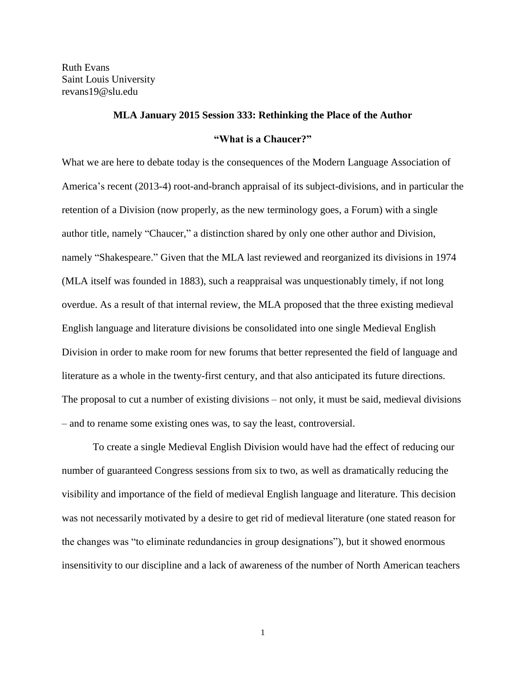Ruth Evans Saint Louis University revans19@slu.edu

## **MLA January 2015 Session 333: Rethinking the Place of the Author "What is a Chaucer?"**

What we are here to debate today is the consequences of the Modern Language Association of America's recent (2013-4) root-and-branch appraisal of its subject-divisions, and in particular the retention of a Division (now properly, as the new terminology goes, a Forum) with a single author title, namely "Chaucer," a distinction shared by only one other author and Division, namely "Shakespeare." Given that the MLA last reviewed and reorganized its divisions in 1974 (MLA itself was founded in 1883), such a reappraisal was unquestionably timely, if not long overdue. As a result of that internal review, the MLA proposed that the three existing medieval English language and literature divisions be consolidated into one single Medieval English Division in order to make room for new forums that better represented the field of language and literature as a whole in the twenty-first century, and that also anticipated its future directions. The proposal to cut a number of existing divisions – not only, it must be said, medieval divisions – and to rename some existing ones was, to say the least, controversial.

To create a single Medieval English Division would have had the effect of reducing our number of guaranteed Congress sessions from six to two, as well as dramatically reducing the visibility and importance of the field of medieval English language and literature. This decision was not necessarily motivated by a desire to get rid of medieval literature (one stated reason for the changes was "to eliminate redundancies in group designations"), but it showed enormous insensitivity to our discipline and a lack of awareness of the number of North American teachers

1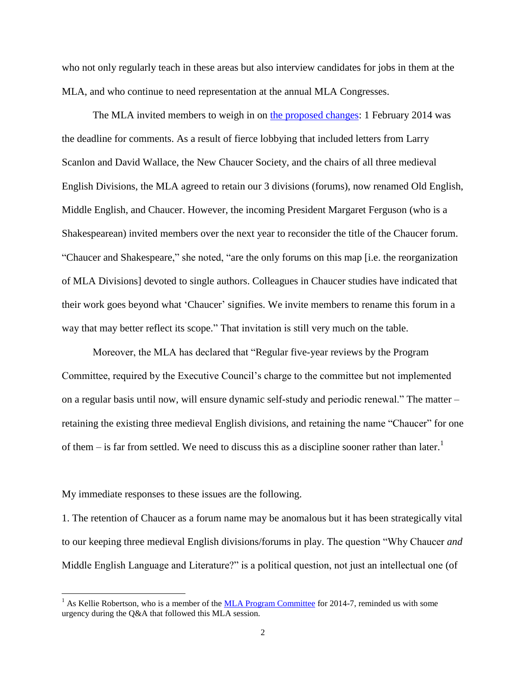who not only regularly teach in these areas but also interview candidates for jobs in them at the MLA, and who continue to need representation at the annual MLA Congresses.

The MLA invited members to weigh in on [the proposed changes:](http://groupsdiscussion.commons.mla.org/revised-draft-proposal/) 1 February 2014 was the deadline for comments. As a result of fierce lobbying that included letters from Larry Scanlon and David Wallace, the New Chaucer Society, and the chairs of all three medieval English Divisions, the MLA agreed to retain our 3 divisions (forums), now renamed Old English, Middle English, and Chaucer. However, the incoming President Margaret Ferguson (who is a Shakespearean) invited members over the next year to reconsider the title of the Chaucer forum. "Chaucer and Shakespeare," she noted, "are the only forums on this map [i.e. the reorganization of MLA Divisions] devoted to single authors. Colleagues in Chaucer studies have indicated that their work goes beyond what 'Chaucer' signifies. We invite members to rename this forum in a way that may better reflect its scope." That invitation is still very much on the table.

Moreover, the MLA has declared that "Regular five-year reviews by the Program Committee, required by the Executive Council's charge to the committee but not implemented on a regular basis until now, will ensure dynamic self-study and periodic renewal." The matter – retaining the existing three medieval English divisions, and retaining the name "Chaucer" for one of them – is far from settled. We need to discuss this as a discipline sooner rather than later.<sup>1</sup>

My immediate responses to these issues are the following.

 $\overline{a}$ 

1. The retention of Chaucer as a forum name may be anomalous but it has been strategically vital to our keeping three medieval English divisions/forums in play. The question "Why Chaucer *and* Middle English Language and Literature?" is a political question, not just an intellectual one (of

<sup>&</sup>lt;sup>1</sup> As Kellie Robertson, who is a member of the MLA [Program Committee](http://www.mla.org/comm_program) for 2014-7, reminded us with some urgency during the Q&A that followed this MLA session.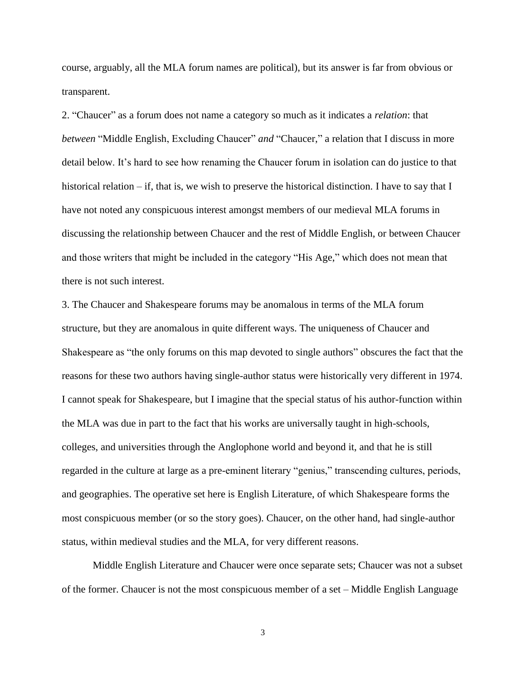course, arguably, all the MLA forum names are political), but its answer is far from obvious or transparent.

2. "Chaucer" as a forum does not name a category so much as it indicates a *relation*: that *between* "Middle English, Excluding Chaucer" *and* "Chaucer," a relation that I discuss in more detail below. It's hard to see how renaming the Chaucer forum in isolation can do justice to that historical relation – if, that is, we wish to preserve the historical distinction. I have to say that I have not noted any conspicuous interest amongst members of our medieval MLA forums in discussing the relationship between Chaucer and the rest of Middle English, or between Chaucer and those writers that might be included in the category "His Age," which does not mean that there is not such interest.

3. The Chaucer and Shakespeare forums may be anomalous in terms of the MLA forum structure, but they are anomalous in quite different ways. The uniqueness of Chaucer and Shakespeare as "the only forums on this map devoted to single authors" obscures the fact that the reasons for these two authors having single-author status were historically very different in 1974. I cannot speak for Shakespeare, but I imagine that the special status of his author-function within the MLA was due in part to the fact that his works are universally taught in high-schools, colleges, and universities through the Anglophone world and beyond it, and that he is still regarded in the culture at large as a pre-eminent literary "genius," transcending cultures, periods, and geographies. The operative set here is English Literature, of which Shakespeare forms the most conspicuous member (or so the story goes). Chaucer, on the other hand, had single-author status, within medieval studies and the MLA, for very different reasons.

Middle English Literature and Chaucer were once separate sets; Chaucer was not a subset of the former. Chaucer is not the most conspicuous member of a set – Middle English Language

3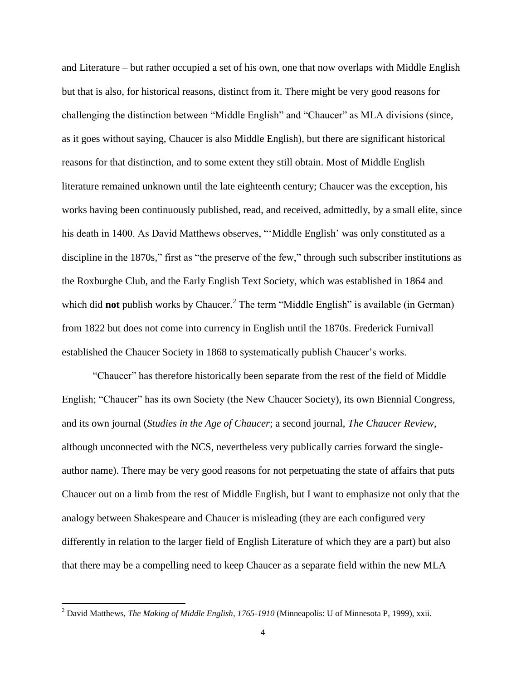and Literature – but rather occupied a set of his own, one that now overlaps with Middle English but that is also, for historical reasons, distinct from it. There might be very good reasons for challenging the distinction between "Middle English" and "Chaucer" as MLA divisions (since, as it goes without saying, Chaucer is also Middle English), but there are significant historical reasons for that distinction, and to some extent they still obtain. Most of Middle English literature remained unknown until the late eighteenth century; Chaucer was the exception, his works having been continuously published, read, and received, admittedly, by a small elite, since his death in 1400. As David Matthews observes, "'Middle English' was only constituted as a discipline in the 1870s," first as "the preserve of the few," through such subscriber institutions as the Roxburghe Club, and the Early English Text Society, which was established in 1864 and which did **not** publish works by Chaucer.<sup>2</sup> The term "Middle English" is available (in German) from 1822 but does not come into currency in English until the 1870s. Frederick Furnivall established the Chaucer Society in 1868 to systematically publish Chaucer's works.

"Chaucer" has therefore historically been separate from the rest of the field of Middle English; "Chaucer" has its own Society (the New Chaucer Society), its own Biennial Congress, and its own journal (*Studies in the Age of Chaucer*; a second journal, *The Chaucer Review*, although unconnected with the NCS, nevertheless very publically carries forward the singleauthor name). There may be very good reasons for not perpetuating the state of affairs that puts Chaucer out on a limb from the rest of Middle English, but I want to emphasize not only that the analogy between Shakespeare and Chaucer is misleading (they are each configured very differently in relation to the larger field of English Literature of which they are a part) but also that there may be a compelling need to keep Chaucer as a separate field within the new MLA

<sup>2</sup> David Matthews, *The Making of Middle English, 1765-1910* (Minneapolis: U of Minnesota P, 1999), xxii.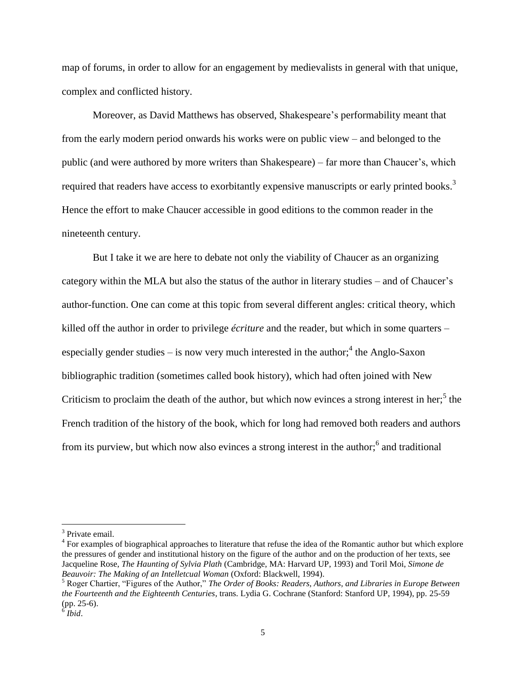map of forums, in order to allow for an engagement by medievalists in general with that unique, complex and conflicted history.

Moreover, as David Matthews has observed, Shakespeare's performability meant that from the early modern period onwards his works were on public view – and belonged to the public (and were authored by more writers than Shakespeare) – far more than Chaucer's, which required that readers have access to exorbitantly expensive manuscripts or early printed books.<sup>3</sup> Hence the effort to make Chaucer accessible in good editions to the common reader in the nineteenth century.

But I take it we are here to debate not only the viability of Chaucer as an organizing category within the MLA but also the status of the author in literary studies – and of Chaucer's author-function. One can come at this topic from several different angles: critical theory, which killed off the author in order to privilege *écriture* and the reader, but which in some quarters – especially gender studies  $-$  is now very much interested in the author;<sup>4</sup> the Anglo-Saxon bibliographic tradition (sometimes called book history), which had often joined with New Criticism to proclaim the death of the author, but which now evinces a strong interest in her;<sup>5</sup> the French tradition of the history of the book, which for long had removed both readers and authors from its purview, but which now also evinces a strong interest in the author; $<sup>6</sup>$  and traditional</sup>

<sup>&</sup>lt;sup>3</sup> Private email.

<sup>&</sup>lt;sup>4</sup> For examples of biographical approaches to literature that refuse the idea of the Romantic author but which explore the pressures of gender and institutional history on the figure of the author and on the production of her texts, see Jacqueline Rose, *The Haunting of Sylvia Plath* (Cambridge, MA: Harvard UP, 1993) and Toril Moi, *Simone de Beauvoir: The Making of an Intelletcual Woman* (Oxford: Blackwell, 1994).

<sup>5</sup> Roger Chartier, "Figures of the Author," *The Order of Books: Readers, Authors, and Libraries in Europe Between the Fourteenth and the Eighteenth Centuries*, trans. Lydia G. Cochrane (Stanford: Stanford UP, 1994), pp. 25-59 (pp. 25-6).

<sup>6</sup> *Ibid*.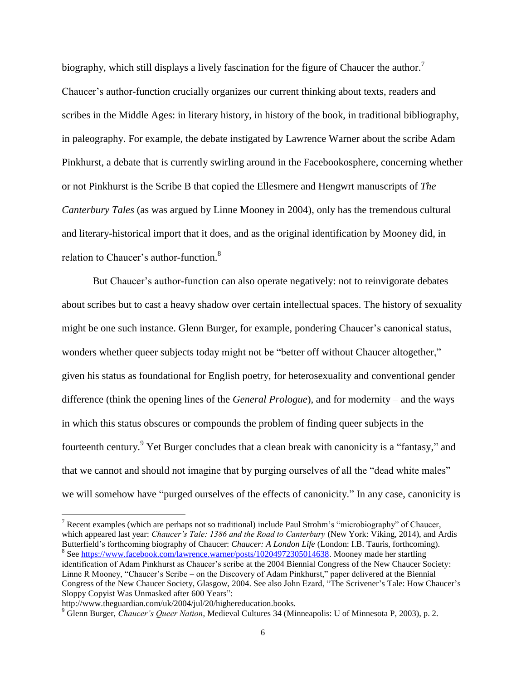biography, which still displays a lively fascination for the figure of Chaucer the author.<sup>7</sup> Chaucer's author-function crucially organizes our current thinking about texts, readers and scribes in the Middle Ages: in literary history, in history of the book, in traditional bibliography, in paleography. For example, the debate instigated by Lawrence Warner about the scribe Adam Pinkhurst, a debate that is currently swirling around in the Facebookosphere, concerning whether or not Pinkhurst is the Scribe B that copied the Ellesmere and Hengwrt manuscripts of *The Canterbury Tales* (as was argued by Linne Mooney in 2004), only has the tremendous cultural and literary-historical import that it does, and as the original identification by Mooney did, in relation to Chaucer's author-function.<sup>8</sup>

But Chaucer's author-function can also operate negatively: not to reinvigorate debates about scribes but to cast a heavy shadow over certain intellectual spaces. The history of sexuality might be one such instance. Glenn Burger, for example, pondering Chaucer's canonical status, wonders whether queer subjects today might not be "better off without Chaucer altogether," given his status as foundational for English poetry, for heterosexuality and conventional gender difference (think the opening lines of the *General Prologue*), and for modernity – and the ways in which this status obscures or compounds the problem of finding queer subjects in the fourteenth century.<sup>9</sup> Yet Burger concludes that a clean break with canonicity is a "fantasy," and that we cannot and should not imagine that by purging ourselves of all the "dead white males" we will somehow have "purged ourselves of the effects of canonicity." In any case, canonicity is

 $7$  Recent examples (which are perhaps not so traditional) include Paul Strohm's "microbiography" of Chaucer, which appeared last year: *Chaucer's Tale: 1386 and the Road to Canterbury* (New York: Viking, 2014), and Ardis Butterfield's forthcoming biography of Chaucer: *Chaucer: A London Life* (London: I.B. Tauris, forthcoming). <sup>8</sup> Se[e https://www.facebook.com/lawrence.warner/posts/10204972305014638.](https://www.facebook.com/lawrence.warner/posts/10204972305014638) Mooney made her startling identification of Adam Pinkhurst as Chaucer's scribe at the 2004 Biennial Congress of the New Chaucer Society: Linne R Mooney, "Chaucer's Scribe – on the Discovery of Adam Pinkhurst," paper delivered at the Biennial Congress of the New Chaucer Society, Glasgow, 2004. See also John Ezard, "The Scrivener's Tale: How Chaucer's Sloppy Copyist Was Unmasked after 600 Years":

http://www.theguardian.com/uk/2004/jul/20/highereducation.books.

<sup>9</sup> Glenn Burger, *Chaucer's Queer Nation*, Medieval Cultures 34 (Minneapolis: U of Minnesota P, 2003), p. 2.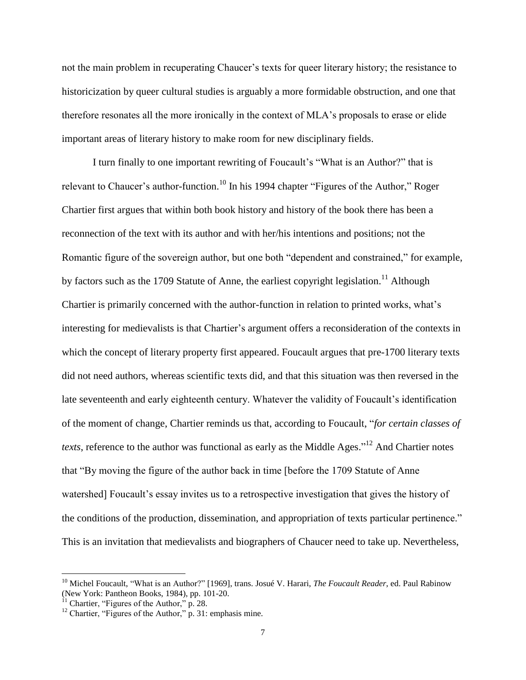not the main problem in recuperating Chaucer's texts for queer literary history; the resistance to historicization by queer cultural studies is arguably a more formidable obstruction, and one that therefore resonates all the more ironically in the context of MLA's proposals to erase or elide important areas of literary history to make room for new disciplinary fields.

I turn finally to one important rewriting of Foucault's "What is an Author?" that is relevant to Chaucer's author-function.<sup>10</sup> In his 1994 chapter "Figures of the Author," Roger Chartier first argues that within both book history and history of the book there has been a reconnection of the text with its author and with her/his intentions and positions; not the Romantic figure of the sovereign author, but one both "dependent and constrained," for example, by factors such as the 1709 Statute of Anne, the earliest copyright legislation.<sup>11</sup> Although Chartier is primarily concerned with the author-function in relation to printed works, what's interesting for medievalists is that Chartier's argument offers a reconsideration of the contexts in which the concept of literary property first appeared. Foucault argues that pre-1700 literary texts did not need authors, whereas scientific texts did, and that this situation was then reversed in the late seventeenth and early eighteenth century. Whatever the validity of Foucault's identification of the moment of change, Chartier reminds us that, according to Foucault, "*for certain classes of texts*, reference to the author was functional as early as the Middle Ages."<sup>12</sup> And Chartier notes that "By moving the figure of the author back in time [before the 1709 Statute of Anne watershed] Foucault's essay invites us to a retrospective investigation that gives the history of the conditions of the production, dissemination, and appropriation of texts particular pertinence." This is an invitation that medievalists and biographers of Chaucer need to take up. Nevertheless,

<sup>&</sup>lt;sup>10</sup> Michel Foucault, "What is an Author?" [1969], trans. Josué V. Harari, *The Foucault Reader*, ed. Paul Rabinow (New York: Pantheon Books, 1984), pp. 101-20.

 $11$  Chartier, "Figures of the Author," p. 28.

 $12$  Chartier, "Figures of the Author," p. 31: emphasis mine.